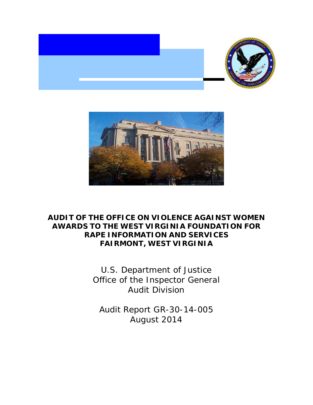



# **AUDIT OF THE OFFICE ON VIOLENCE AGAINST WOMEN AWARDS TO THE WEST VIRGINIA FOUNDATION FOR RAPE INFORMATION AND SERVICES FAIRMONT, WEST VIRGINIA**

U.S. Department of Justice Office of the Inspector General Audit Division

Audit Report GR-30-14-005 August 2014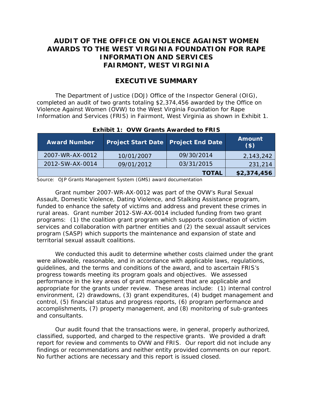# **AUDIT OF THE OFFICE ON VIOLENCE AGAINST WOMEN AWARDS TO THE WEST VIRGINIA FOUNDATION FOR RAPE INFORMATION AND SERVICES FAIRMONT, WEST VIRGINIA**

## **EXECUTIVE SUMMARY**

The Department of Justice (DOJ) Office of the Inspector General (OIG), completed an audit of two grants totaling \$2,374,456 awarded by the Office on Violence Against Women (OVW) to the West Virginia Foundation for Rape Information and Services (FRIS) in Fairmont, West Virginia as shown in Exhibit 1.

| <b>Award Number</b> | <b>Project Start Date   Project End Date  </b> |              | <b>Amount</b><br>$($ \$) |
|---------------------|------------------------------------------------|--------------|--------------------------|
| 2007-WR-AX-0012     | 10/01/2007                                     | 09/30/2014   | 2,143,242                |
| 2012-SW-AX-0014     | 09/01/2012                                     | 03/31/2015   | 231,214                  |
|                     |                                                | <b>TOTAL</b> | \$2,374,456              |

## **Exhibit 1: OVW Grants Awarded to FRIS**

Source: OJP Grants Management System (GMS) award documentation

Grant number 2007-WR-AX-0012 was part of the OVW's Rural Sexual Assault, Domestic Violence, Dating Violence, and Stalking Assistance program, funded to enhance the safety of victims and address and prevent these crimes in rural areas. Grant number 2012-SW-AX-0014 included funding from two grant programs: (1) the coalition grant program which supports coordination of victim services and collaboration with partner entities and (2) the sexual assault services program (SASP) which supports the maintenance and expansion of state and territorial sexual assault coalitions.

We conducted this audit to determine whether costs claimed under the grant were allowable, reasonable, and in accordance with applicable laws, regulations, guidelines, and the terms and conditions of the award, and to ascertain FRIS's progress towards meeting its program goals and objectives. We assessed performance in the key areas of grant management that are applicable and appropriate for the grants under review. These areas include: (1) internal control environment, (2) drawdowns, (3) grant expenditures, (4) budget management and control, (5) financial status and progress reports, (6) program performance and accomplishments, (7) property management, and (8) monitoring of sub-grantees and consultants.

Our audit found that the transactions were, in general, properly authorized, classified, supported, and charged to the respective grants. We provided a draft report for review and comments to OVW and FRIS. Our report did not include any findings or recommendations and neither entity provided comments on our report. No further actions are necessary and this report is issued closed.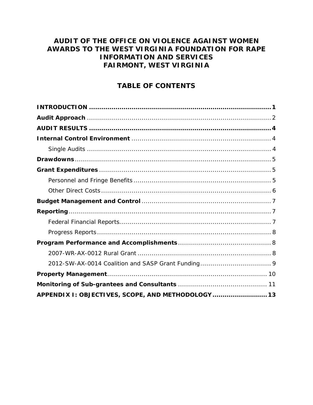# AUDIT OF THE OFFICE ON VIOLENCE AGAINST WOMEN AWARDS TO THE WEST VIRGINIA FOUNDATION FOR RAPE **INFORMATION AND SERVICES FAIRMONT, WEST VIRGINIA**

# **TABLE OF CONTENTS**

| APPENDIX I: OBJECTIVES, SCOPE, AND METHODOLOGY  13 |  |
|----------------------------------------------------|--|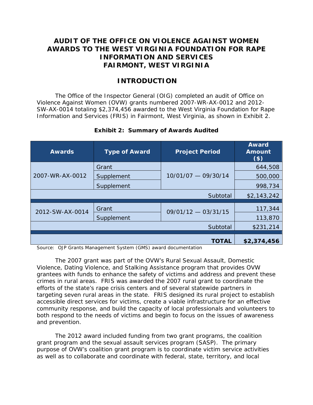# <span id="page-5-0"></span>**AUDIT OF THE OFFICE ON VIOLENCE AGAINST WOMEN AWARDS TO THE WEST VIRGINIA FOUNDATION FOR RAPE INFORMATION AND SERVICES FAIRMONT, WEST VIRGINIA**

## **INTRODUCTION**

The Office of the Inspector General (OIG) completed an audit of Office on Violence Against Women (OVW) grants numbered 2007-WR-AX-0012 and 2012- SW-AX-0014 totaling \$2,374,456 awarded to the West Virginia Foundation for Rape Information and Services (FRIS) in Fairmont, West Virginia, as shown in Exhibit 2.

| <b>Awards</b>   | <b>Type of Award</b> | <b>Project Period</b> | <b>Award</b><br><b>Amount</b><br>$($ \$) |
|-----------------|----------------------|-----------------------|------------------------------------------|
| 2007-WR-AX-0012 | Grant                | $10/01/07 - 09/30/14$ | 644,508                                  |
|                 | Supplement           |                       | 500,000                                  |
|                 | Supplement           |                       | 998,734                                  |
|                 |                      | Subtotal              | \$2,143,242                              |
| 2012-SW-AX-0014 |                      | $09/01/12 - 03/31/15$ |                                          |
|                 | Grant                |                       | 117,344                                  |
|                 | Supplement           |                       | 113,870                                  |
|                 |                      | Subtotal              | \$231,214                                |
|                 |                      |                       |                                          |
|                 |                      | <b>TOTAL</b>          | \$2,374,456                              |

## **Exhibit 2: Summary of Awards Audited**

Source: OJP Grants Management System (GMS) award documentation

The 2007 grant was part of the OVW's Rural Sexual Assault, Domestic Violence, Dating Violence, and Stalking Assistance program that provides OVW grantees with funds to enhance the safety of victims and address and prevent these crimes in rural areas. FRIS was awarded the 2007 rural grant to coordinate the efforts of the state's rape crisis centers and of several statewide partners in targeting seven rural areas in the state. FRIS designed its rural project to establish accessible direct services for victims, create a viable infrastructure for an effective community response, and build the capacity of local professionals and volunteers to both respond to the needs of victims and begin to focus on the issues of awareness and prevention.

The 2012 award included funding from two grant programs, the coalition grant program and the sexual assault services program (SASP). The primary purpose of OVW's coalition grant program is to coordinate victim service activities as well as to collaborate and coordinate with federal, state, territory, and local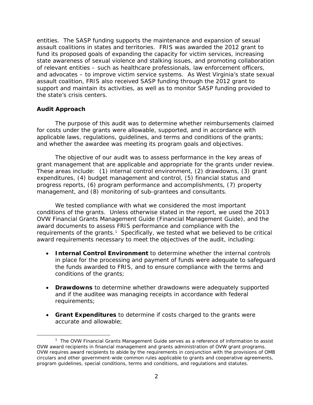entities. The SASP funding supports the maintenance and expansion of sexual assault coalitions in states and territories. FRIS was awarded the 2012 grant to fund its proposed goals of expanding the capacity for victim services, increasing state awareness of sexual violence and stalking issues, and promoting collaboration of relevant entities – such as healthcare professionals, law enforcement officers, and advocates – to improve victim service systems. As West Virginia's state sexual assault coalition, FRIS also received SASP funding through the 2012 grant to support and maintain its activities, as well as to monitor SASP funding provided to the state's crisis centers.

## **Audit Approach**

The purpose of this audit was to determine whether reimbursements claimed for costs under the grants were allowable, supported, and in accordance with applicable laws, regulations, guidelines, and terms and conditions of the grants; and whether the awardee was meeting its program goals and objectives.

The objective of our audit was to assess performance in the key areas of grant management that are applicable and appropriate for the grants under review. These areas include: (1) internal control environment, (2) drawdowns, (3) grant expenditures, (4) budget management and control, (5) financial status and progress reports, (6) program performance and accomplishments, (7) property management, and (8) monitoring of sub-grantees and consultants.

We tested compliance with what we considered the most important conditions of the grants. Unless otherwise stated in the report, we used the 2013 OVW Financial Grants Management Guide (Financial Management Guide), and the award documents to assess FRIS performance and compliance with the requirements of the grants.<sup>[1](#page-6-0)</sup> Specifically, we tested what we believed to be critical award requirements necessary to meet the objectives of the audit, including:

- **Internal Control Environment** to determine whether the internal controls in place for the processing and payment of funds were adequate to safeguard the funds awarded to FRIS, and to ensure compliance with the terms and conditions of the grants;
- **Drawdowns** to determine whether drawdowns were adequately supported and if the auditee was managing receipts in accordance with federal requirements;
- **Grant Expenditures** to determine if costs charged to the grants were accurate and allowable;

<span id="page-6-0"></span> <sup>1</sup> <sup>1</sup> The OVW *Financial Grants Management Guide* serves as a reference of information to assist OVW award recipients in financial management and grants administration of OVW grant programs. OVW requires award recipients to abide by the requirements in conjunction with the provisions of OMB circulars and other government-wide common rules applicable to grants and cooperative agreements, program guidelines, special conditions, terms and conditions, and regulations and statutes.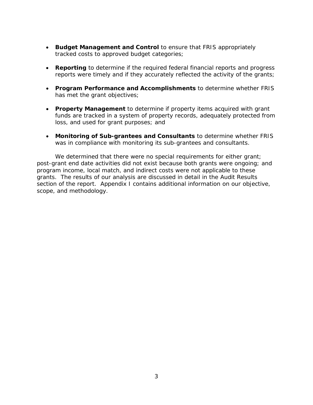- **Budget Management and Control** to ensure that FRIS appropriately tracked costs to approved budget categories;
- **Reporting** to determine if the required federal financial reports and progress reports were timely and if they accurately reflected the activity of the grants;
- **Program Performance and Accomplishments** to determine whether FRIS has met the grant objectives;
- **Property Management** to determine if property items acquired with grant funds are tracked in a system of property records, adequately protected from loss, and used for grant purposes; and
- **Monitoring of Sub-grantees and Consultants** to determine whether FRIS was in compliance with monitoring its sub-grantees and consultants.

We determined that there were no special requirements for either grant; post-grant end date activities did not exist because both grants were ongoing; and program income, local match, and indirect costs were not applicable to these grants. The results of our analysis are discussed in detail in the Audit Results section of the report. Appendix I contains additional information on our objective, scope, and methodology.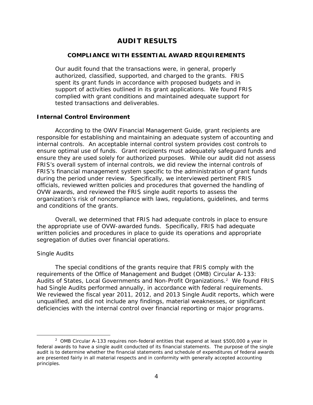## **AUDIT RESULTS**

## <span id="page-8-0"></span>**COMPLIANCE WITH ESSENTIAL AWARD REQUIREMENTS**

Our audit found that the transactions were, in general, properly authorized, classified, supported, and charged to the grants. FRIS spent its grant funds in accordance with proposed budgets and in support of activities outlined in its grant applications. We found FRIS complied with grant conditions and maintained adequate support for tested transactions and deliverables.

## <span id="page-8-1"></span>**Internal Control Environment**

According to the OWV Financial Management Guide, grant recipients are responsible for establishing and maintaining an adequate system of accounting and internal controls. An acceptable internal control system provides cost controls to ensure optimal use of funds. Grant recipients must adequately safeguard funds and ensure they are used solely for authorized purposes. While our audit did not assess FRIS's overall system of internal controls, we did review the internal controls of FRIS's financial management system specific to the administration of grant funds during the period under review. Specifically, we interviewed pertinent FRIS officials, reviewed written policies and procedures that governed the handling of OVW awards, and reviewed the FRIS single audit reports to assess the organization's risk of noncompliance with laws, regulations, guidelines, and terms and conditions of the grants.

Overall, we determined that FRIS had adequate controls in place to ensure the appropriate use of OVW-awarded funds. Specifically, FRIS had adequate written policies and procedures in place to guide its operations and appropriate segregation of duties over financial operations.

## *Single Audits*

The special conditions of the grants require that FRIS comply with the requirements of the Office of Management and Budget (OMB) Circular A-133: Audits of States, Local Governments and Non-Profit Organizations.<sup>[2](#page-8-3)</sup> We found FRIS had Single Audits performed annually, in accordance with federal requirements. We reviewed the fiscal year 2011, 2012, and 2013 Single Audit reports, which were unqualified, and did not include any findings, material weaknesses, or significant deficiencies with the internal control over financial reporting or major programs.

<span id="page-8-3"></span><span id="page-8-2"></span> $\overline{\phantom{a}}$  $2$  OMB Circular A-133 requires non-federal entities that expend at least \$500,000 a year in federal awards to have a single audit conducted of its financial statements. The purpose of the single audit is to determine whether the financial statements and schedule of expenditures of federal awards are presented fairly in all material respects and in conformity with generally accepted accounting principles.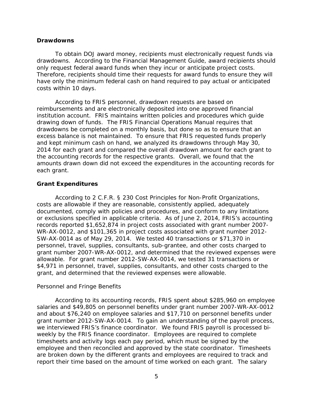#### **Drawdowns**

To obtain DOJ award money, recipients must electronically request funds via drawdowns. According to the Financial Management Guide, award recipients should only request federal award funds when they incur or anticipate project costs. Therefore, recipients should time their requests for award funds to ensure they will have only the minimum federal cash on hand required to pay actual or anticipated costs within 10 days.

According to FRIS personnel, drawdown requests are based on reimbursements and are electronically deposited into one approved financial institution account. FRIS maintains written policies and procedures which guide drawing down of funds. The FRIS Financial Operations Manual requires that drawdowns be completed on a monthly basis, but done so as to ensure that an excess balance is not maintained. To ensure that FRIS requested funds properly and kept minimum cash on hand, we analyzed its drawdowns through May 30, 2014 for each grant and compared the overall drawdown amount for each grant to the accounting records for the respective grants. Overall, we found that the amounts drawn down did not exceed the expenditures in the accounting records for each grant.

## <span id="page-9-1"></span>**Grant Expenditures**

According to 2 C.F.R. § 230 *Cost Principles for Non-Profit Organizations*, costs are allowable if they are reasonable, consistently applied, adequately documented, comply with policies and procedures, and conform to any limitations or exclusions specified in applicable criteria. As of June 2, 2014, FRIS's accounting records reported \$1,652,874 in project costs associated with grant number 2007- WR-AX-0012, and \$101,365 in project costs associated with grant number 2012- SW-AX-0014 as of May 29, 2014. We tested 40 transactions or \$71,370 in personnel, travel, supplies, consultants, sub-grantee, and other costs charged to grant number 2007-WR-AX-0012, and determined that the reviewed expenses were allowable. For grant number 2012-SW-AX-0014, we tested 31 transactions or \$4,971 in personnel, travel, supplies, consultants, and other costs charged to the grant, and determined that the reviewed expenses were allowable.

## <span id="page-9-0"></span>*Personnel and Fringe Benefits*

According to its accounting records, FRIS spent about \$285,960 on employee salaries and \$49,805 on personnel benefits under grant number 2007-WR-AX-0012 and about \$76,240 on employee salaries and \$17,710 on personnel benefits under grant number 2012-SW-AX-0014. To gain an understanding of the payroll process, we interviewed FRIS's finance coordinator. We found FRIS payroll is processed biweekly by the FRIS finance coordinator. Employees are required to complete timesheets and activity logs each pay period, which must be signed by the employee and then reconciled and approved by the state coordinator. Timesheets are broken down by the different grants and employees are required to track and report their time based on the amount of time worked on each grant. The salary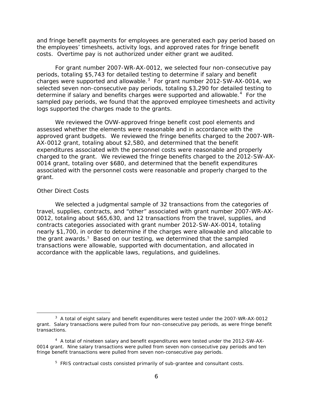and fringe benefit payments for employees are generated each pay period based on the employees' timesheets, activity logs, and approved rates for fringe benefit costs. Overtime pay is not authorized under either grant we audited.

For grant number 2007-WR-AX-0012, we selected four non-consecutive pay periods, totaling \$5,743 for detailed testing to determine if salary and benefit charges were supported and allowable.<sup>[3](#page-10-1)</sup> For grant number 2012-SW-AX-0014, we selected seven non-consecutive pay periods, totaling \$3,290 for detailed testing to determine if salary and benefits charges were supported and allowable.<sup>[4](#page-10-2)</sup> For the sampled pay periods, we found that the approved employee timesheets and activity logs supported the charges made to the grants.

We reviewed the OVW-approved fringe benefit cost pool elements and assessed whether the elements were reasonable and in accordance with the approved grant budgets. We reviewed the fringe benefits charged to the 2007-WR-AX-0012 grant, totaling about \$2,580, and determined that the benefit expenditures associated with the personnel costs were reasonable and properly charged to the grant. We reviewed the fringe benefits charged to the 2012-SW-AX-0014 grant, totaling over \$680, and determined that the benefit expenditures associated with the personnel costs were reasonable and properly charged to the grant.

## <span id="page-10-0"></span>*Other Direct Costs*

We selected a judgmental sample of 32 transactions from the categories of travel, supplies, contracts, and "other" associated with grant number 2007-WR-AX-0012, totaling about \$65,630, and 12 transactions from the travel, supplies, and contracts categories associated with grant number 2012-SW-AX-0014, totaling nearly \$1,700, in order to determine if the charges were allowable and allocable to the grant awards.<sup>[5](#page-10-3)</sup> Based on our testing, we determined that the sampled transactions were allowable, supported with documentation, and allocated in accordance with the applicable laws, regulations, and guidelines.

<span id="page-10-1"></span> $\overline{\phantom{a}}$  3  $3$  A total of eight salary and benefit expenditures were tested under the 2007-WR-AX-0012 grant. Salary transactions were pulled from four non-consecutive pay periods, as were fringe benefit transactions.

<span id="page-10-3"></span><span id="page-10-2"></span><sup>&</sup>lt;sup>4</sup> A total of nineteen salary and benefit expenditures were tested under the 2012-SW-AX-0014 grant. Nine salary transactions were pulled from seven non-consecutive pay periods and ten fringe benefit transactions were pulled from seven non-consecutive pay periods.

<sup>&</sup>lt;sup>5</sup> FRIS contractual costs consisted primarily of sub-grantee and consultant costs.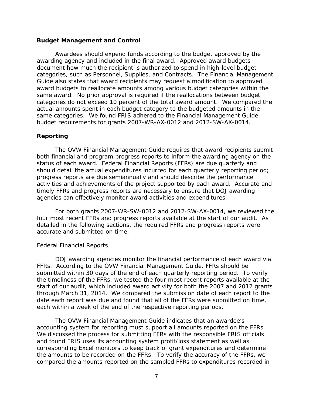#### <span id="page-11-0"></span>**Budget Management and Control**

Awardees should expend funds according to the budget approved by the awarding agency and included in the final award. Approved award budgets document how much the recipient is authorized to spend in high-level budget categories, such as Personnel, Supplies, and Contracts. The Financial Management Guide also states that award recipients may request a modification to approved award budgets to reallocate amounts among various budget categories within the same award. No prior approval is required if the reallocations between budget categories do not exceed 10 percent of the total award amount. We compared the actual amounts spent in each budget category to the budgeted amounts in the same categories. We found FRIS adhered to the Financial Management Guide budget requirements for grants 2007-WR-AX-0012 and 2012-SW-AX-0014.

## <span id="page-11-1"></span>**Reporting**

The OVW Financial Management Guide requires that award recipients submit both financial and program progress reports to inform the awarding agency on the status of each award. Federal Financial Reports (FFRs) are due quarterly and should detail the actual expenditures incurred for each quarterly reporting period; progress reports are due semiannually and should describe the performance activities and achievements of the project supported by each award. Accurate and timely FFRs and progress reports are necessary to ensure that DOJ awarding agencies can effectively monitor award activities and expenditures.

For both grants 2007-WR-SW-0012 and 2012-SW-AX-0014, we reviewed the four most recent FFRs and progress reports available at the start of our audit. As detailed in the following sections, the required FFRs and progress reports were accurate and submitted on time.

#### <span id="page-11-2"></span>*Federal Financial Reports*

DOJ awarding agencies monitor the financial performance of each award via FFRs. According to the OVW Financial Management Guide, FFRs should be submitted within 30 days of the end of each quarterly reporting period. To verify the timeliness of the FFRs, we tested the four most recent reports available at the start of our audit, which included award activity for both the 2007 and 2012 grants through March 31, 2014. We compared the submission date of each report to the date each report was due and found that all of the FFRs were submitted on time, each within a week of the end of the respective reporting periods.

The OVW Financial Management Guide indicates that an awardee's accounting system for reporting must support all amounts reported on the FFRs. We discussed the process for submitting FFRs with the responsible FRIS officials and found FRIS uses its accounting system profit/loss statement as well as corresponding Excel monitors to keep track of grant expenditures and determine the amounts to be recorded on the FFRs. To verify the accuracy of the FFRs, we compared the amounts reported on the sampled FFRs to expenditures recorded in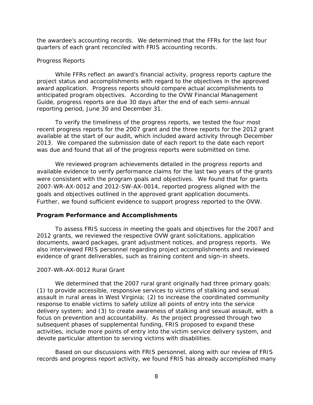the awardee's accounting records. We determined that the FFRs for the last four quarters of each grant reconciled with FRIS accounting records.

#### <span id="page-12-0"></span>*Progress Reports*

While FFRs reflect an award's financial activity, progress reports capture the project status and accomplishments with regard to the objectives in the approved award application. Progress reports should compare actual accomplishments to anticipated program objectives. According to the OVW Financial Management Guide, progress reports are due 30 days after the end of each semi-annual reporting period, June 30 and December 31.

To verify the timeliness of the progress reports, we tested the four most recent progress reports for the 2007 grant and the three reports for the 2012 grant available at the start of our audit, which included award activity through December 2013. We compared the submission date of each report to the date each report was due and found that all of the progress reports were submitted on time.

We reviewed program achievements detailed in the progress reports and available evidence to verify performance claims for the last two years of the grants were consistent with the program goals and objectives. We found that for grants 2007-WR-AX-0012 and 2012-SW-AX-0014, reported progress aligned with the goals and objectives outlined in the approved grant application documents. Further, we found sufficient evidence to support progress reported to the OVW.

## <span id="page-12-1"></span>**Program Performance and Accomplishments**

To assess FRIS success in meeting the goals and objectives for the 2007 and 2012 grants, we reviewed the respective OVW grant solicitations, application documents, award packages, grant adjustment notices, and progress reports. We also interviewed FRIS personnel regarding project accomplishments and reviewed evidence of grant deliverables, such as training content and sign-in sheets.

#### <span id="page-12-2"></span>*2007-WR-AX-0012 Rural Grant*

We determined that the 2007 rural grant originally had three primary goals: (1) to provide accessible, responsive services to victims of stalking and sexual assault in rural areas in West Virginia; (2) to increase the coordinated community response to enable victims to safely utilize all points of entry into the service delivery system; and (3) to create awareness of stalking and sexual assault, with a focus on prevention and accountability. As the project progressed through two subsequent phases of supplemental funding, FRIS proposed to expand these activities, include more points of entry into the victim service delivery system, and devote particular attention to serving victims with disabilities.

Based on our discussions with FRIS personnel, along with our review of FRIS records and progress report activity, we found FRIS has already accomplished many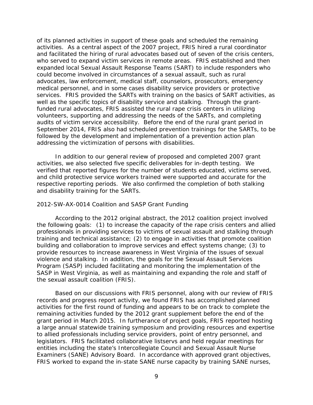of its planned activities in support of these goals and scheduled the remaining activities. As a central aspect of the 2007 project, FRIS hired a rural coordinator and facilitated the hiring of rural advocates based out of seven of the crisis centers, who served to expand victim services in remote areas. FRIS established and then expanded local Sexual Assault Response Teams (SART) to include responders who could become involved in circumstances of a sexual assault, such as rural advocates, law enforcement, medical staff, counselors, prosecutors, emergency medical personnel, and in some cases disability service providers or protective services. FRIS provided the SARTs with training on the basics of SART activities, as well as the specific topics of disability service and stalking. Through the grantfunded rural advocates, FRIS assisted the rural rape crisis centers in utilizing volunteers, supporting and addressing the needs of the SARTs, and completing audits of victim service accessibility. Before the end of the rural grant period in September 2014, FRIS also had scheduled prevention trainings for the SARTs, to be followed by the development and implementation of a prevention action plan addressing the victimization of persons with disabilities.

In addition to our general review of proposed and completed 2007 grant activities, we also selected five specific deliverables for in-depth testing. We verified that reported figures for the number of students educated, victims served, and child protective service workers trained were supported and accurate for the respective reporting periods. We also confirmed the completion of both stalking and disability training for the SARTs.

#### <span id="page-13-0"></span>*2012-SW-AX-0014 Coalition and SASP Grant Funding*

According to the 2012 original abstract, the 2012 coalition project involved the following goals: (1) to increase the capacity of the rape crisis centers and allied professionals in providing services to victims of sexual assault and stalking through training and technical assistance; (2) to engage in activities that promote coalition building and collaboration to improve services and effect systems change; (3) to provide resources to increase awareness in West Virginia of the issues of sexual violence and stalking. In addition, the goals for the Sexual Assault Services Program (SASP) included facilitating and monitoring the implementation of the SASP in West Virginia, as well as maintaining and expanding the role and staff of the sexual assault coalition (FRIS).

Based on our discussions with FRIS personnel, along with our review of FRIS records and progress report activity, we found FRIS has accomplished planned activities for the first round of funding and appears to be on track to complete the remaining activities funded by the 2012 grant supplement before the end of the grant period in March 2015. In furtherance of project goals, FRIS reported hosting a large annual statewide training symposium and providing resources and expertise to allied professionals including service providers, point of entry personnel, and legislators. FRIS facilitated collaborative listservs and held regular meetings for entities including the state's Intercollegiate Council and Sexual Assault Nurse Examiners (SANE) Advisory Board. In accordance with approved grant objectives, FRIS worked to expand the in-state SANE nurse capacity by training SANE nurses,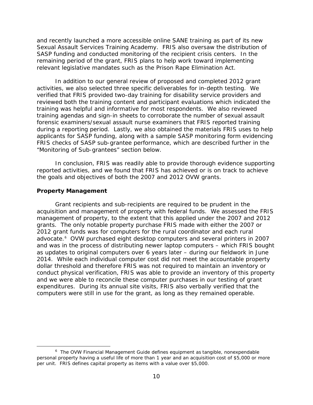and recently launched a more accessible online SANE training as part of its new Sexual Assault Services Training Academy. FRIS also oversaw the distribution of SASP funding and conducted monitoring of the recipient crisis centers. In the remaining period of the grant, FRIS plans to help work toward implementing relevant legislative mandates such as the Prison Rape Elimination Act.

In addition to our general review of proposed and completed 2012 grant activities, we also selected three specific deliverables for in-depth testing. We verified that FRIS provided two-day training for disability service providers and reviewed both the training content and participant evaluations which indicated the training was helpful and informative for most respondents. We also reviewed training agendas and sign-in sheets to corroborate the number of sexual assault forensic examiners/sexual assault nurse examiners that FRIS reported training during a reporting period. Lastly, we also obtained the materials FRIS uses to help applicants for SASP funding, along with a sample SASP monitoring form evidencing FRIS checks of SASP sub-grantee performance, which are described further in the "Monitoring of Sub-grantees" section below.

In conclusion, FRIS was readily able to provide thorough evidence supporting reported activities, and we found that FRIS has achieved or is on track to achieve the goals and objectives of both the 2007 and 2012 OVW grants.

## <span id="page-14-0"></span>**Property Management**

Grant recipients and sub-recipients are required to be prudent in the acquisition and management of property with federal funds. We assessed the FRIS management of property, to the extent that this applied under the 2007 and 2012 grants. The only notable property purchase FRIS made with either the 2007 or 2012 grant funds was for computers for the rural coordinator and each rural advocate.[6](#page-14-1) OVW purchased eight desktop computers and several printers in 2007 and was in the process of distributing newer laptop computers – which FRIS bought as updates to original computers over 6 years later – during our fieldwork in June 2014. While each individual computer cost did not meet the accountable property dollar threshold and therefore FRIS was not required to maintain an inventory or conduct physical verification, FRIS was able to provide an inventory of this property and we were able to reconcile these computer purchases in our testing of grant expenditures. During its annual site visits, FRIS also verbally verified that the computers were still in use for the grant, as long as they remained operable.

<span id="page-14-1"></span> $6$  The OVW Financial Management Guide defines equipment as tangible, nonexpendable personal property having a useful life of more than 1 year and an acquisition cost of \$5,000 or more per unit. FRIS defines capital property as items with a value over \$5,000.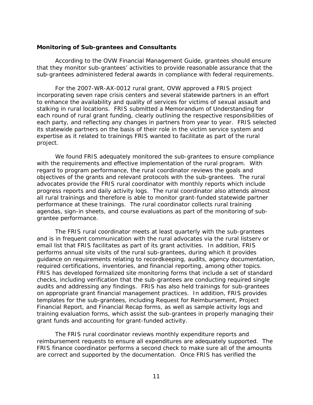#### <span id="page-15-0"></span>**Monitoring of Sub-grantees and Consultants**

According to the OVW Financial Management Guide, grantees should ensure that they monitor sub-grantees' activities to provide reasonable assurance that the sub-grantees administered federal awards in compliance with federal requirements.

For the 2007-WR-AX-0012 rural grant, OVW approved a FRIS project incorporating seven rape crisis centers and several statewide partners in an effort to enhance the availability and quality of services for victims of sexual assault and stalking in rural locations. FRIS submitted a Memorandum of Understanding for each round of rural grant funding, clearly outlining the respective responsibilities of each party, and reflecting any changes in partners from year to year. FRIS selected its statewide partners on the basis of their role in the victim service system and expertise as it related to trainings FRIS wanted to facilitate as part of the rural project.

We found FRIS adequately monitored the sub-grantees to ensure compliance with the requirements and effective implementation of the rural program. With regard to program performance, the rural coordinator reviews the goals and objectives of the grants and relevant protocols with the sub-grantees. The rural advocates provide the FRIS rural coordinator with monthly reports which include progress reports and daily activity logs. The rural coordinator also attends almost all rural trainings and therefore is able to monitor grant-funded statewide partner performance at these trainings. The rural coordinator collects rural training agendas, sign-in sheets, and course evaluations as part of the monitoring of subgrantee performance.

The FRIS rural coordinator meets at least quarterly with the sub-grantees and is in frequent communication with the rural advocates via the rural listserv or email list that FRIS facilitates as part of its grant activities. In addition, FRIS performs annual site visits of the rural sub-grantees, during which it provides guidance on requirements relating to recordkeeping, audits, agency documentation, required certifications, inventories, and financial reporting, among other topics. FRIS has developed formalized site monitoring forms that include a set of standard checks, including verification that the sub-grantees are conducting required single audits and addressing any findings. FRIS has also held trainings for sub-grantees on appropriate grant financial management practices. In addition, FRIS provides templates for the sub-grantees, including Request for Reimbursement, Project Financial Report, and Financial Recap forms, as well as sample activity logs and training evaluation forms, which assist the sub-grantees in properly managing their grant funds and accounting for grant-funded activity.

The FRIS rural coordinator reviews monthly expenditure reports and reimbursement requests to ensure all expenditures are adequately supported. The FRIS finance coordinator performs a second check to make sure all of the amounts are correct and supported by the documentation. Once FRIS has verified the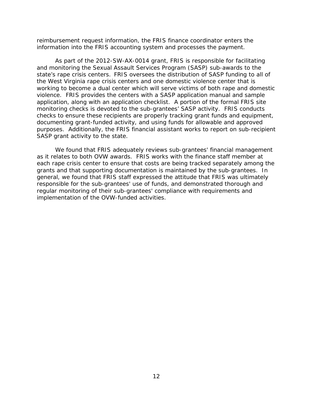reimbursement request information, the FRIS finance coordinator enters the information into the FRIS accounting system and processes the payment.

As part of the 2012-SW-AX-0014 grant, FRIS is responsible for facilitating and monitoring the Sexual Assault Services Program (SASP) sub-awards to the state's rape crisis centers. FRIS oversees the distribution of SASP funding to all of the West Virginia rape crisis centers and one domestic violence center that is working to become a dual center which will serve victims of both rape and domestic violence. FRIS provides the centers with a SASP application manual and sample application, along with an application checklist. A portion of the formal FRIS site monitoring checks is devoted to the sub-grantees' SASP activity. FRIS conducts checks to ensure these recipients are properly tracking grant funds and equipment, documenting grant-funded activity, and using funds for allowable and approved purposes. Additionally, the FRIS financial assistant works to report on sub-recipient SASP grant activity to the state.

We found that FRIS adequately reviews sub-grantees' financial management as it relates to both OVW awards. FRIS works with the finance staff member at each rape crisis center to ensure that costs are being tracked separately among the grants and that supporting documentation is maintained by the sub-grantees. In general, we found that FRIS staff expressed the attitude that FRIS was ultimately responsible for the sub-grantees' use of funds, and demonstrated thorough and regular monitoring of their sub-grantees' compliance with requirements and implementation of the OVW-funded activities.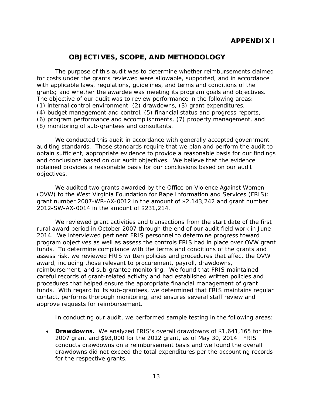# **OBJECTIVES, SCOPE, AND METHODOLOGY**

<span id="page-17-0"></span>The purpose of this audit was to determine whether reimbursements claimed for costs under the grants reviewed were allowable, supported, and in accordance with applicable laws, regulations, guidelines, and terms and conditions of the grants; and whether the awardee was meeting its program goals and objectives. The objective of our audit was to review performance in the following areas: (1) internal control environment, (2) drawdowns, (3) grant expenditures, (4) budget management and control, (5) financial status and progress reports, (6) program performance and accomplishments, (7) property management, and (8) monitoring of sub-grantees and consultants.

We conducted this audit in accordance with generally accepted government auditing standards. Those standards require that we plan and perform the audit to obtain sufficient, appropriate evidence to provide a reasonable basis for our findings and conclusions based on our audit objectives. We believe that the evidence obtained provides a reasonable basis for our conclusions based on our audit objectives.

We audited two grants awarded by the Office on Violence Against Women (OVW) to the West Virginia Foundation for Rape Information and Services (FRIS): grant number 2007-WR-AX-0012 in the amount of \$2,143,242 and grant number 2012-SW-AX-0014 in the amount of \$231,214.

We reviewed grant activities and transactions from the start date of the first rural award period in October 2007 through the end of our audit field work in June 2014. We interviewed pertinent FRIS personnel to determine progress toward program objectives as well as assess the controls FRIS had in place over OVW grant funds. To determine compliance with the terms and conditions of the grants and assess risk, we reviewed FRIS written policies and procedures that affect the OVW award, including those relevant to procurement, payroll, drawdowns, reimbursement, and sub-grantee monitoring. We found that FRIS maintained careful records of grant-related activity and had established written policies and procedures that helped ensure the appropriate financial management of grant funds. With regard to its sub-grantees, we determined that FRIS maintains regular contact, performs thorough monitoring, and ensures several staff review and approve requests for reimbursement.

In conducting our audit, we performed sample testing in the following areas:

• **Drawdowns.** We analyzed FRIS's overall drawdowns of \$1,641,165 for the 2007 grant and \$93,000 for the 2012 grant, as of May 30, 2014. FRIS conducts drawdowns on a reimbursement basis and we found the overall drawdowns did not exceed the total expenditures per the accounting records for the respective grants.